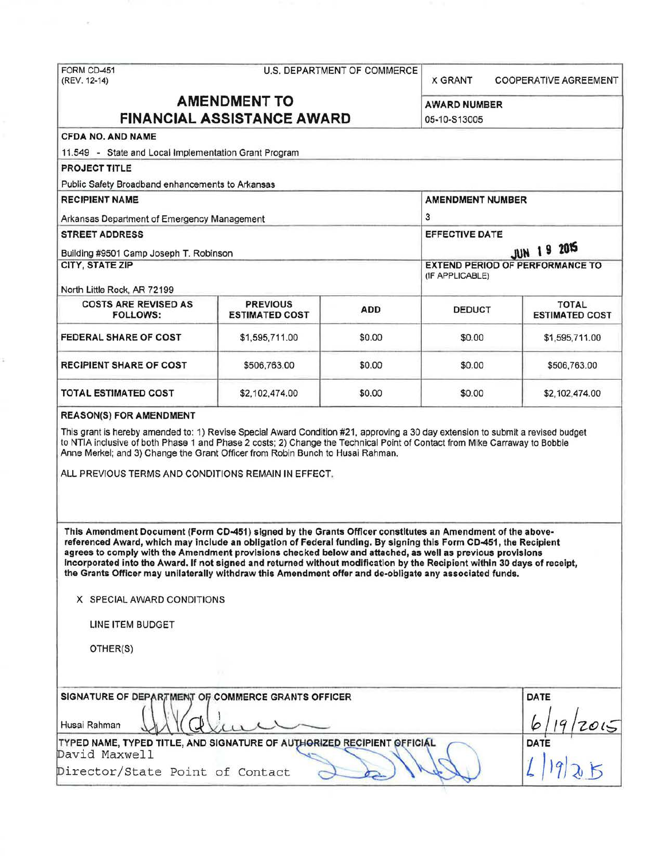# FORM CD-451 U.S. DEPARTMENT OF COMMERCE (REV. 12-14)

X GRANT COOPERATIVE AGREEMENT

# **AMENDMENT TO** AWARD NUMBER **FINANCIAL ASSISTANCE AWARD 105-10-S13005**

## CFDA NO. AND NAME

11 .549 - State and Local Implementation Grant Program

PROJECT TITLE

Public Safety Broadband enhancements to Arkansas

RECIPIENT NAME AMENDMENT NUMBER Arkansas Department of Emergency Management 3 STREET ADDRESS EFFECTIVE DATE Building #9501 Camp Joseph T. Robinson **JUN 19 2015**<br>CITY, STATE ZIP **JUN 19 2015 EXTEND PERIOD OF PERFORMANCE TO** (IF APPLICABLE)

North little Rock, AR 72199

| <b>COSTS ARE REVISED AS</b><br><b>FOLLOWS:</b> | <b>PREVIOUS</b><br><b>ESTIMATED COST</b> | <b>ADD</b> | <b>DEDUCT</b> | <b>TOTAL</b><br><b>ESTIMATED COST</b> |  |
|------------------------------------------------|------------------------------------------|------------|---------------|---------------------------------------|--|
| <b>FEDERAL SHARE OF COST</b>                   | \$1,595,711.00                           | \$0.00     | \$0.00        | \$1,595,711.00                        |  |
| <b>RECIPIENT SHARE OF COST</b>                 | \$506,763.00                             | \$0.00     | \$0.00        | \$506,763.00                          |  |
| TOTAL ESTIMATED COST                           | \$2,102,474.00                           | \$0.00     | \$0.00        | \$2,102,474.00                        |  |

#### REASON(S) FOR AMENDMENT

This grant is hereby amended to: 1) Revise Special Award Condition #21, approving a 30 day extension to submit a revised budget to NTIA inclusive of both Phase 1 and Phase 2 costs; 2) Change the Technical Point of Contact from Mike Carraway to Bobbie Anne Merkel; and 3) Change the Grant Officer from Robin Bunch to Husai Rahman.

ALL PREVIOUS TERMS AND CONDITIONS REMAIN IN EFFECT.

This Amendment Document (Form CD-451) signed by the Grants Officer constitutes an Amendment of the abovereferenced Award, which may include an obligation of Federal funding. By signing this Form CD-451, the Recipient agrees to comply with the Amendment provisions checked below and attached, as well as previous provisions Incorporated into the Award. If not signed and returned without modification by the Recipient within 30 days of receipt, the Grants Officer may unilaterally withdraw this Amendment offer and de-obligate any associated funds.

X SPECIAL AWARD CONDITIONS

LINE ITEM BUDGET

OTHER(S)

| <b>SIGNATURE OF DEPARTMENT OF COMMERCE GRANTS OFFICER</b>               | <b>DATE</b> |
|-------------------------------------------------------------------------|-------------|
| Husai Rahman                                                            |             |
| TYPED NAME, TYPED TITLE, AND SIGNATURE OF AUTHORIZED RECIPIENT OFFICIAL | <b>DATE</b> |
| David Maxwell                                                           |             |
| Director/State Point of Contact                                         |             |